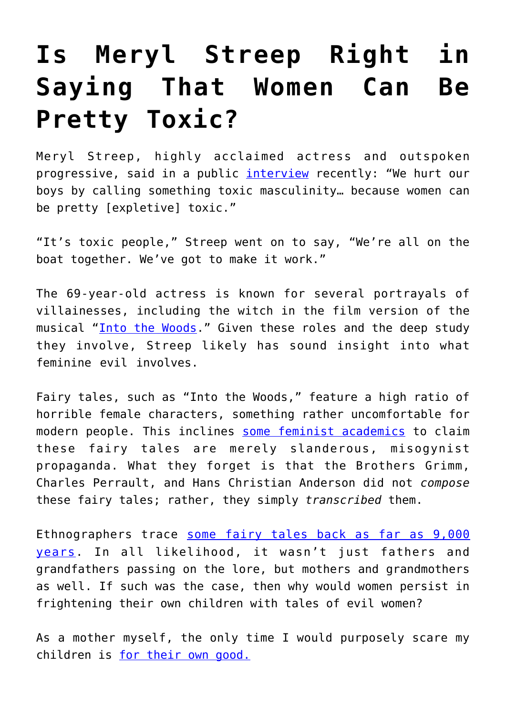## **[Is Meryl Streep Right in](https://intellectualtakeout.org/2019/06/is-meryl-streep-right-in-saying-that-women-can-be-pretty-toxic/) [Saying That Women Can Be](https://intellectualtakeout.org/2019/06/is-meryl-streep-right-in-saying-that-women-can-be-pretty-toxic/) [Pretty Toxic?](https://intellectualtakeout.org/2019/06/is-meryl-streep-right-in-saying-that-women-can-be-pretty-toxic/)**

Meryl Streep, highly acclaimed actress and outspoken progressive, said in a public *[interview](https://www.independent.co.uk/life-style/meryl-streep-toxic-masculinity-big-little-lies-season-2-qa-talk-a8936156.html?fbclid=IwAR1XWUxSXQrXpSSWkERalTzPXAtK1PyvnKks3Q6Ls4xSNgekYhQW9d8cgvU)* recently: "We hurt our boys by calling something toxic masculinity… because women can be pretty [expletive] toxic."

"It's toxic people," Streep went on to say, "We're all on the boat together. We've got to make it work."

The 69-year-old actress is known for several portrayals of villainesses, including the witch in the film version of the musical "[Into the Woods.](https://en.wikipedia.org/wiki/Into_the_Woods_(film))" Given these roles and the deep study they involve, Streep likely has sound insight into what feminine evil involves.

Fairy tales, such as "Into the Woods," feature a high ratio of horrible female characters, something rather uncomfortable for modern people. This inclines [some feminist academics](https://testkitchen.huffingtonpost.com/grimm/) to claim these fairy tales are merely slanderous, misogynist propaganda. What they forget is that the Brothers Grimm, Charles Perrault, and Hans Christian Anderson did not *compose* these fairy tales; rather, they simply *transcribed* them.

Ethnographers trace [some fairy tales back as far as 9,000](https://www.theatlantic.com/science/archive/2016/01/on-the-origin-of-stories/424629/) [years](https://www.theatlantic.com/science/archive/2016/01/on-the-origin-of-stories/424629/). In all likelihood, it wasn't just fathers and grandfathers passing on the lore, but mothers and grandmothers as well. If such was the case, then why would women persist in frightening their own children with tales of evil women?

As a mother myself, the only time I would purposely scare my children is [for their own good.](https://theconversation.com/women-can-be-psychopaths-too-in-ways-more-subtle-but-just-as-dangerous-84200)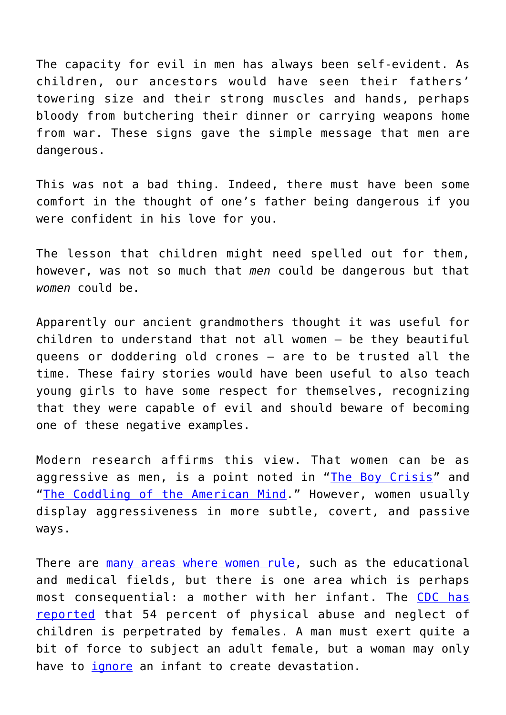The capacity for evil in men has always been self-evident. As children, our ancestors would have seen their fathers' towering size and their strong muscles and hands, perhaps bloody from butchering their dinner or carrying weapons home from war. These signs gave the simple message that men are dangerous.

This was not a bad thing. Indeed, there must have been some comfort in the thought of one's father being dangerous if you were confident in his love for you.

The lesson that children might need spelled out for them, however, was not so much that *men* could be dangerous but that *women* could be.

Apparently our ancient grandmothers thought it was useful for children to understand that not all women – be they beautiful queens or doddering old crones – are to be trusted all the time. These fairy stories would have been useful to also teach young girls to have some respect for themselves, recognizing that they were capable of evil and should beware of becoming one of these negative examples.

Modern research affirms this view. That women can be as aggressive as men, is a point noted in "[The Boy Crisis"](https://www.amazon.com/Boy-Crisis-Boys-Struggling-About/dp/1942952716/ref=sr_1_1?hvadid=241920403388&hvdev=c&hvlocphy=200574&hvnetw=g&hvpos=1t1&hvqmt=e&hvrand=5010486748154922059&hvtargid=kwd-392817225066&ie=UTF8&keywords=the+boy+crisis&qid=1547911862&sr=8-1&tag=googhydr-20) and "[The Coddling of the American Mind](https://www.amazon.com/Coddling-American-Mind-Intentions-Generation-ebook/dp/B076NVFT5P/ref=sr_1_1?keywords=the+coddling+of+the+american+mind&qid=1559534524&s=gateway&sr=8-1)." However, women usually display aggressiveness in more subtle, covert, and passive ways.

There are [many areas where women rule](https://www.businessinsider.com/pink-collar-jobs-dominated-by-women-2015-2), such as the educational and medical fields, but there is one area which is perhaps most consequential: a mother with her infant. The [CDC has](https://www.cdc.gov/violenceprevention/pdf/childmaltreatment-facts-at-a-glance.pdf) [reported](https://www.cdc.gov/violenceprevention/pdf/childmaltreatment-facts-at-a-glance.pdf) that 54 percent of physical abuse and neglect of children is perpetrated by females. A man must exert quite a bit of force to subject an adult female, but a woman may only have to *[ignore](https://www.youtube.com/watch?v=apzXGEbZht0)* an infant to create devastation.